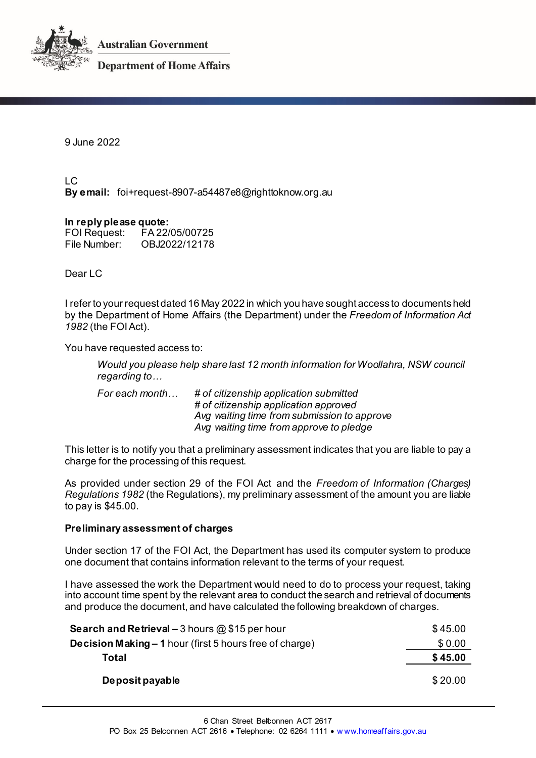



**Department of Home Affairs** 

9 June 2022

 $LC$ **By email:** foi+request-8907-a54487e8@righttoknow.org.au

### **In reply please quote:**

FOI Request: FA 22/05/00725 OBJ2022/12178

Dear LC

I refer to your request dated 16 May 2022 in which you have sought access to documents held by the Department of Home Affairs (the Department) under the *Freedom of Information Act 1982* (the FOI Act).

You have requested access to:

*Would you please help share last 12 month information for Woollahra, NSW council regarding to…*

*For each month… # of citizenship application submitted # of citizenship application approved Avg waiting time from submission to approve Avg waiting time from approve to pledge*

This letter is to notify you that a preliminary assessment indicates that you are liable to pay a charge for the processing of this request.

As provided under section 29 of the FOI Act and the *Freedom of Information (Charges) Regulations 1982* (the Regulations), my preliminary assessment of the amount you are liable to pay is \$45.00.

## **Preliminary assessment of charges**

Under section 17 of the FOI Act, the Department has used its computer system to produce one document that contains information relevant to the terms of your request.

I have assessed the work the Department would need to do to process your request, taking into account time spent by the relevant area to conduct the search and retrieval of documents and produce the document, and have calculated the following breakdown of charges.

| <b>Search and Retrieval – 3 hours @ \$15 per hour</b>          | \$45.00 |
|----------------------------------------------------------------|---------|
| <b>Decision Making – 1</b> hour (first 5 hours free of charge) | \$0.00  |
| Total                                                          | \$45.00 |
| Deposit payable                                                | \$20.00 |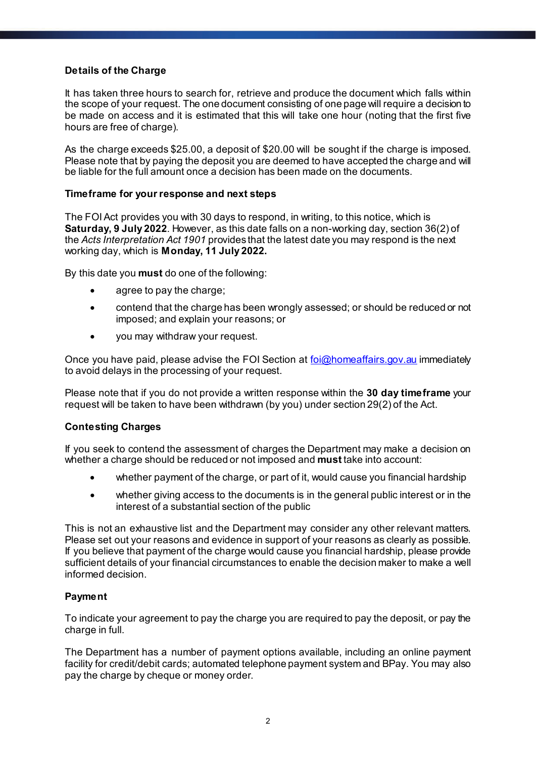# **Details of the Charge**

It has taken three hours to search for, retrieve and produce the document which falls within the scope of your request. The one document consisting of one page will require a decision to be made on access and it is estimated that this will take one hour (noting that the first five hours are free of charge).

As the charge exceeds \$25.00, a deposit of \$20.00 will be sought if the charge is imposed. Please note that by paying the deposit you are deemed to have accepted the charge and will be liable for the full amount once a decision has been made on the documents.

## **Timeframe for your response and next steps**

The FOI Act provides you with 30 days to respond, in writing, to this notice, which is **Saturday, 9 July 2022**. However, as this date falls on a non-working day, section 36(2) of the *Acts Interpretation Act 1901* provides that the latest date you may respond is the next working day, which is **Monday, 11 July 2022.**

By this date you **must** do one of the following:

- agree to pay the charge;
- contend that the charge has been wrongly assessed; or should be reduced or not imposed; and explain your reasons; or
- you may withdraw your request.

Once you have paid, please advise the FOI Section at foi@homeaffairs.gov.au immediately to avoid delays in the processing of your request.

Please note that if you do not provide a written response within the **30 day timeframe** your request will be taken to have been withdrawn (by you) under section 29(2) of the Act.

## **Contesting Charges**

If you seek to contend the assessment of charges the Department may make a decision on whether a charge should be reduced or not imposed and **must** take into account:

- whether payment of the charge, or part of it, would cause you financial hardship
- whether giving access to the documents is in the general public interest or in the interest of a substantial section of the public

This is not an exhaustive list and the Department may consider any other relevant matters. Please set out your reasons and evidence in support of your reasons as clearly as possible. If you believe that payment of the charge would cause you financial hardship, please provide sufficient details of your financial circumstances to enable the decision maker to make a well informed decision.

## **Payment**

To indicate your agreement to pay the charge you are required to pay the deposit, or pay the charge in full.

The Department has a number of payment options available, including an online payment facility for credit/debit cards; automated telephone payment system and BPay. You may also pay the charge by cheque or money order.